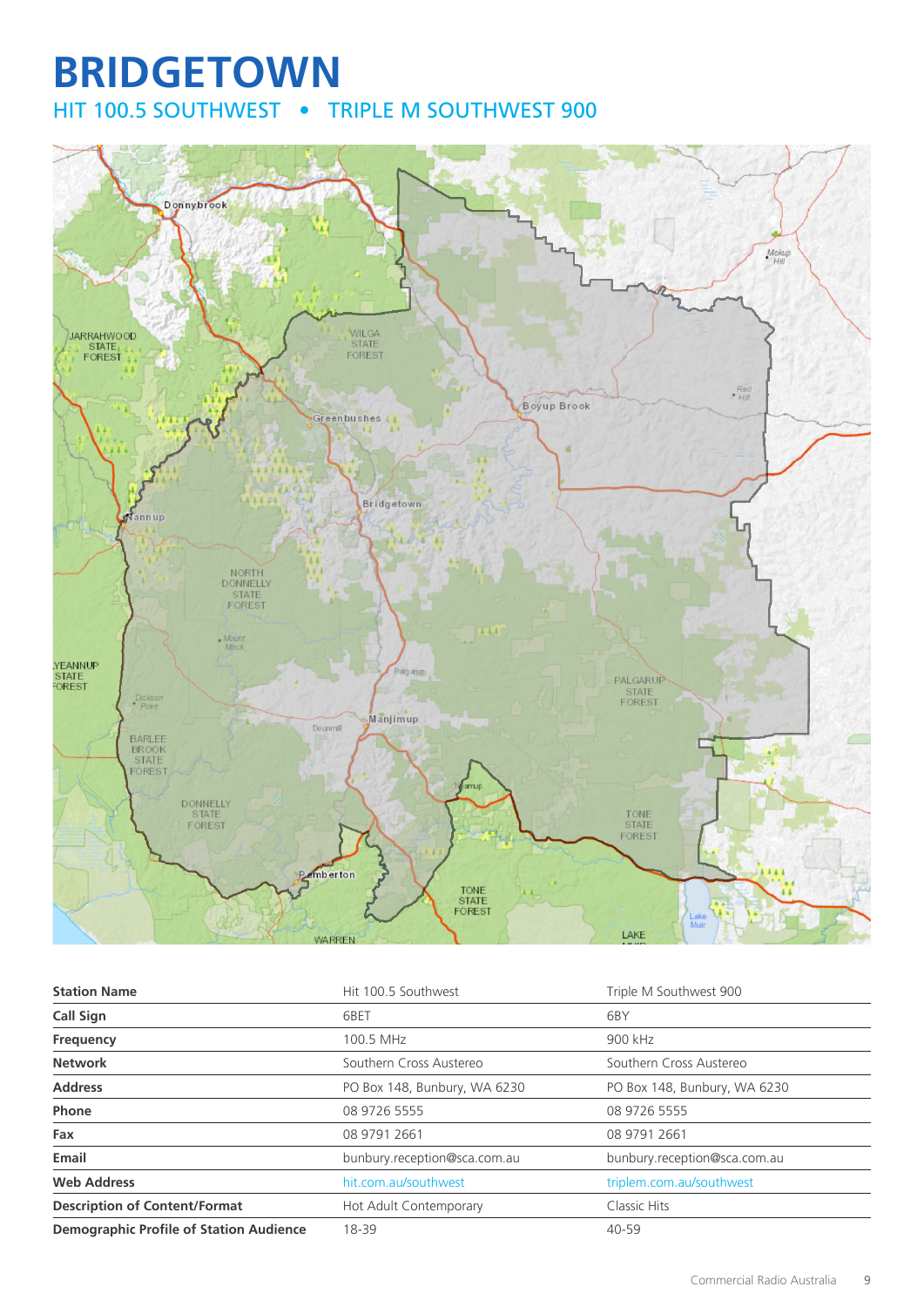# **BRIDGETOWN** HIT 100.5 SOUTHWEST • TRIPLE M SOUTHWEST 900



| <b>Station Name</b>                            | Hit 100.5 Southwest          | Triple M Southwest 900       |
|------------------------------------------------|------------------------------|------------------------------|
| <b>Call Sign</b>                               | 6BET                         | 6BY                          |
| Frequency                                      | 100.5 MHz                    | 900 kHz                      |
| <b>Network</b>                                 | Southern Cross Austereo      | Southern Cross Austereo      |
| <b>Address</b>                                 | PO Box 148, Bunbury, WA 6230 | PO Box 148, Bunbury, WA 6230 |
| Phone                                          | 08 9726 5555                 | 08 9726 5555                 |
| Fax                                            | 08 9791 2661                 | 08 9791 2661                 |
| Email                                          | bunbury.reception@sca.com.au | bunbury.reception@sca.com.au |
| <b>Web Address</b>                             | hit.com.au/southwest         | triplem.com.au/southwest     |
| <b>Description of Content/Format</b>           | Hot Adult Contemporary       | Classic Hits                 |
| <b>Demographic Profile of Station Audience</b> | 18-39                        | 40-59                        |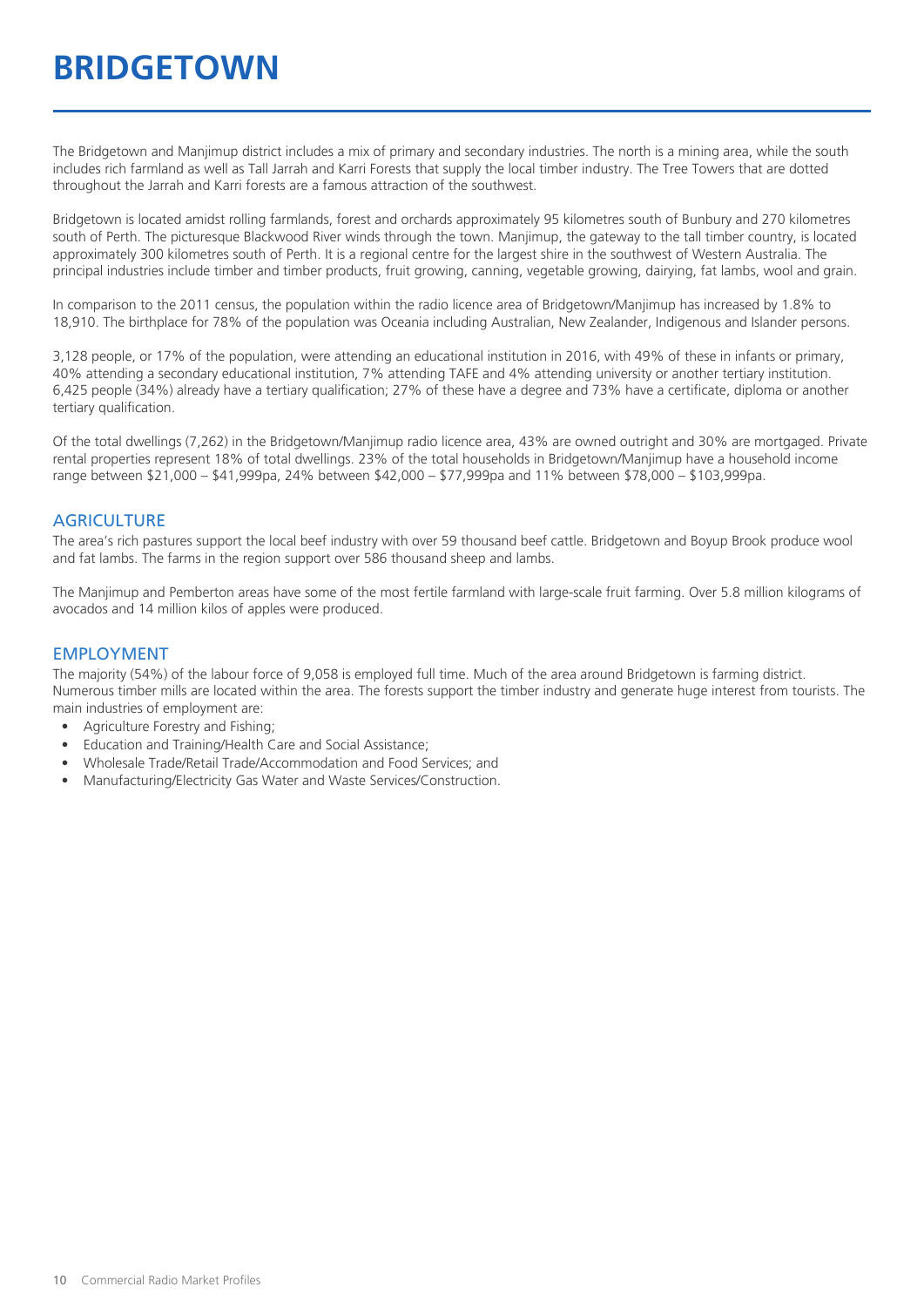# **BRIDGETOWN**

The Bridgetown and Manjimup district includes a mix of primary and secondary industries. The north is a mining area, while the south includes rich farmland as well as Tall Jarrah and Karri Forests that supply the local timber industry. The Tree Towers that are dotted throughout the Jarrah and Karri forests are a famous attraction of the southwest.

Bridgetown is located amidst rolling farmlands, forest and orchards approximately 95 kilometres south of Bunbury and 270 kilometres south of Perth. The picturesque Blackwood River winds through the town. Manjimup, the gateway to the tall timber country, is located approximately 300 kilometres south of Perth. It is a regional centre for the largest shire in the southwest of Western Australia. The principal industries include timber and timber products, fruit growing, canning, vegetable growing, dairying, fat lambs, wool and grain.

In comparison to the 2011 census, the population within the radio licence area of Bridgetown/Manjimup has increased by 1.8% to 18,910. The birthplace for 78% of the population was Oceania including Australian, New Zealander, Indigenous and Islander persons.

3,128 people, or 17% of the population, were attending an educational institution in 2016, with 49% of these in infants or primary, 40% attending a secondary educational institution, 7% attending TAFE and 4% attending university or another tertiary institution. 6,425 people (34%) already have a tertiary qualification; 27% of these have a degree and 73% have a certificate, diploma or another tertiary qualification.

Of the total dwellings (7,262) in the Bridgetown/Manjimup radio licence area, 43% are owned outright and 30% are mortgaged. Private rental properties represent 18% of total dwellings. 23% of the total households in Bridgetown/Manjimup have a household income range between \$21,000 – \$41,999pa, 24% between \$42,000 – \$77,999pa and 11% between \$78,000 – \$103,999pa.

#### **AGRICULTURE**

The area's rich pastures support the local beef industry with over 59 thousand beef cattle. Bridgetown and Boyup Brook produce wool and fat lambs. The farms in the region support over 586 thousand sheep and lambs.

The Manjimup and Pemberton areas have some of the most fertile farmland with large-scale fruit farming. Over 5.8 million kilograms of avocados and 14 million kilos of apples were produced.

#### EMPLOYMENT

The majority (54%) of the labour force of 9,058 is employed full time. Much of the area around Bridgetown is farming district. Numerous timber mills are located within the area. The forests support the timber industry and generate huge interest from tourists. The main industries of employment are:

- Agriculture Forestry and Fishing:
- Education and Training/Health Care and Social Assistance;
- Wholesale Trade/Retail Trade/Accommodation and Food Services; and
- Manufacturing/Electricity Gas Water and Waste Services/Construction.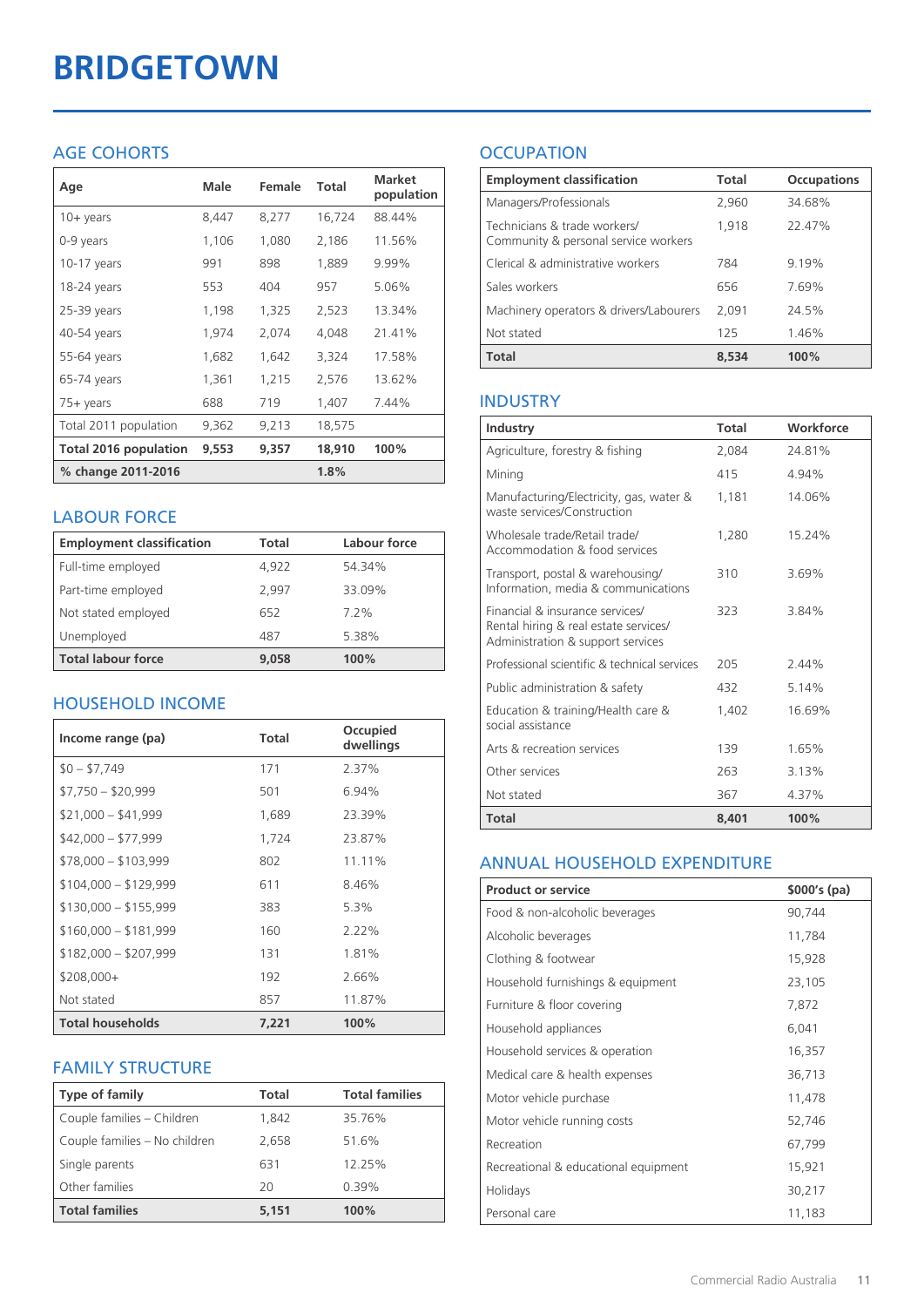# **BRIDGETOWN**

# AGE COHORTS

| Age                   | Male  | Female | Total  | <b>Market</b><br>population |
|-----------------------|-------|--------|--------|-----------------------------|
| $10 + \gamma$ ears    | 8,447 | 8,277  | 16,724 | 88.44%                      |
| 0-9 years             | 1,106 | 1,080  | 2,186  | 11.56%                      |
| $10-17$ years         | 991   | 898    | 1,889  | 9.99%                       |
| 18-24 years           | 553   | 404    | 957    | 5.06%                       |
| $25-39$ years         | 1,198 | 1,325  | 2,523  | 13.34%                      |
| 40-54 years           | 1,974 | 2,074  | 4,048  | 21.41%                      |
| 55-64 years           | 1,682 | 1,642  | 3,324  | 17.58%                      |
| 65-74 years           | 1,361 | 1,215  | 2,576  | 13.62%                      |
| $75+$ years           | 688   | 719    | 1,407  | 7.44%                       |
| Total 2011 population | 9,362 | 9,213  | 18,575 |                             |
| Total 2016 population | 9,553 | 9,357  | 18,910 | 100%                        |
| % change 2011-2016    |       |        | 1.8%   |                             |

### LABOUR FORCE

| <b>Employment classification</b> | Total | Labour force |
|----------------------------------|-------|--------------|
| Full-time employed               | 4,922 | 54.34%       |
| Part-time employed               | 2.997 | 33.09%       |
| Not stated employed              | 652   | $7.2\%$      |
| Unemployed                       | 487   | 5.38%        |
| <b>Total labour force</b>        | 9.058 | 100%         |

# HOUSEHOLD INCOME

| Income range (pa)       | Total | Occupied<br>dwellings |
|-------------------------|-------|-----------------------|
| $$0 - $7,749$           | 171   | 2.37%                 |
| $$7,750 - $20,999$      | 501   | 6.94%                 |
| $$21,000 - $41,999$     | 1,689 | 23.39%                |
| $$42,000 - $77,999$     | 1,724 | 23.87%                |
| $$78,000 - $103,999$    | 802   | 11.11%                |
| $$104,000 - $129,999$   | 611   | 8.46%                 |
| $$130,000 - $155,999$   | 383   | 5.3%                  |
| $$160,000 - $181,999$   | 160   | $2.22\%$              |
| $$182,000 - $207,999$   | 131   | 1.81%                 |
| \$208,000+              | 192   | 2.66%                 |
| Not stated              | 857   | 11.87%                |
| <b>Total households</b> | 7,221 | 100%                  |

# FAMILY STRUCTURE

| <b>Type of family</b>         | <b>Total</b> | <b>Total families</b> |
|-------------------------------|--------------|-----------------------|
| Couple families - Children    | 1.842        | 35.76%                |
| Couple families - No children | 2,658        | 51.6%                 |
| Single parents                | 631          | 12.25%                |
| Other families                | 20           | $0.39\%$              |
| <b>Total families</b>         | 5,151        | 100%                  |

# **OCCUPATION**

| <b>Employment classification</b>                                     | Total | <b>Occupations</b> |
|----------------------------------------------------------------------|-------|--------------------|
| Managers/Professionals                                               | 2,960 | 34.68%             |
| Technicians & trade workers/<br>Community & personal service workers | 1,918 | 22.47%             |
| Clerical & administrative workers                                    | 784   | 9.19%              |
| Sales workers                                                        | 656   | 7.69%              |
| Machinery operators & drivers/Labourers                              | 2,091 | 24.5%              |
| Not stated                                                           | 125   | 1.46%              |
| <b>Total</b>                                                         | 8.534 | 100%               |

### INDUSTRY

| Industry                                                                                                      | Total | Workforce |
|---------------------------------------------------------------------------------------------------------------|-------|-----------|
| Agriculture, forestry & fishing                                                                               | 2,084 | 24.81%    |
| Mining                                                                                                        | 415   | 4.94%     |
| Manufacturing/Electricity, gas, water &<br>waste services/Construction                                        | 1,181 | 14.06%    |
| Wholesale trade/Retail trade/<br>Accommodation & food services                                                | 1.280 | 15.24%    |
| Transport, postal & warehousing/<br>Information, media & communications                                       | 310   | 3.69%     |
| Financial & insurance services/<br>Rental hiring & real estate services/<br>Administration & support services | 323   | 3.84%     |
| Professional scientific & technical services                                                                  | 205   | 244%      |
| Public administration & safety                                                                                | 432   | 5 14%     |
| Education & training/Health care &<br>social assistance                                                       | 1,402 | 16.69%    |
| Arts & recreation services                                                                                    | 139   | 1.65%     |
| Other services                                                                                                | 263   | 3.13%     |
| Not stated                                                                                                    | 367   | 4.37%     |
| <b>Total</b>                                                                                                  | 8,401 | 100%      |

#### ANNUAL HOUSEHOLD EXPENDITURE

| <b>Product or service</b>            | $$000's$ (pa) |
|--------------------------------------|---------------|
| Food & non-alcoholic beverages       | 90,744        |
| Alcoholic beverages                  | 11,784        |
| Clothing & footwear                  | 15,928        |
| Household furnishings & equipment    | 23,105        |
| Furniture & floor covering           | 7,872         |
| Household appliances                 | 6,041         |
| Household services & operation       | 16,357        |
| Medical care & health expenses       | 36,713        |
| Motor vehicle purchase               | 11,478        |
| Motor vehicle running costs          | 52,746        |
| Recreation                           | 67,799        |
| Recreational & educational equipment | 15,921        |
| Holidays                             | 30,217        |
| Personal care                        | 11,183        |